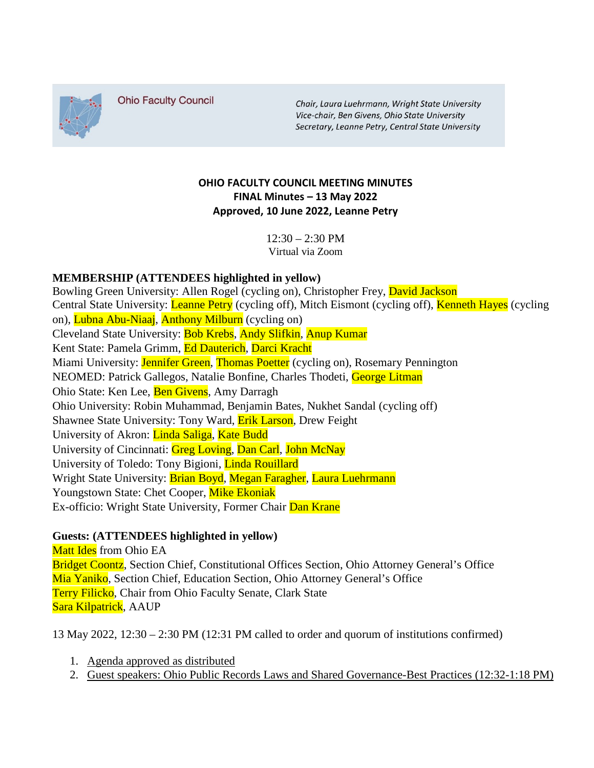

**Ohio Faculty Council** 

Chair, Laura Luehrmann, Wright State University Vice-chair, Ben Givens, Ohio State University Secretary, Leanne Petry, Central State University

# **OHIO FACULTY COUNCIL MEETING MINUTES FINAL Minutes – 13 May 2022 Approved, 10 June 2022, Leanne Petry**

 $12:30 - 2:30$  PM Virtual via Zoom

# **MEMBERSHIP (ATTENDEES highlighted in yellow)**

Bowling Green University: Allen Rogel (cycling on), Christopher Frey, David Jackson Central State University: *Leanne Petry* (cycling off), Mitch Eismont (cycling off), *Kenneth Hayes* (cycling on), Lubna Abu-Niaaj, Anthony Milburn (cycling on) Cleveland State University: Bob Krebs, Andy Slifkin, Anup Kumar Kent State: Pamela Grimm, Ed Dauterich, Darci Kracht Miami University: Jennifer Green, Thomas Poetter (cycling on), Rosemary Pennington NEOMED: Patrick Gallegos, Natalie Bonfine, Charles Thodeti, George Litman Ohio State: Ken Lee, Ben Givens, Amy Darragh Ohio University: Robin Muhammad, Benjamin Bates, Nukhet Sandal (cycling off) Shawnee State University: Tony Ward, **Erik Larson**, Drew Feight University of Akron: Linda Saliga, Kate Budd University of Cincinnati: Greg Loving, Dan Carl, John McNay University of Toledo: Tony Bigioni, Linda Rouillard Wright State University: Brian Boyd, Megan Faragher, Laura Luehrmann Youngstown State: Chet Cooper, Mike Ekoniak Ex-officio: Wright State University, Former Chair Dan Krane

### **Guests: (ATTENDEES highlighted in yellow)**

Matt Ides from Ohio EA Bridget Coontz, Section Chief, Constitutional Offices Section, Ohio Attorney General's Office Mia Yaniko, Section Chief, Education Section, Ohio Attorney General's Office Terry Filicko, Chair from Ohio Faculty Senate, Clark State Sara Kilpatrick, AAUP

13 May 2022, 12:30 – 2:30 PM (12:31 PM called to order and quorum of institutions confirmed)

- 1. Agenda approved as distributed
- 2. Guest speakers: Ohio Public Records Laws and Shared Governance-Best Practices (12:32-1:18 PM)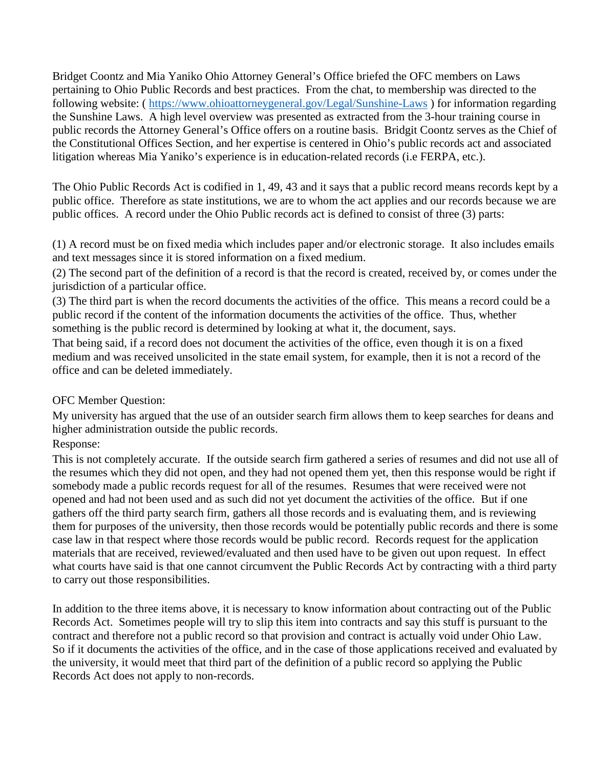Bridget Coontz and Mia Yaniko Ohio Attorney General's Office briefed the OFC members on Laws pertaining to Ohio Public Records and best practices. From the chat, to membership was directed to the following website: (<https://www.ohioattorneygeneral.gov/Legal/Sunshine-Laws> ) for information regarding the Sunshine Laws. A high level overview was presented as extracted from the 3-hour training course in public records the Attorney General's Office offers on a routine basis. Bridgit Coontz serves as the Chief of the Constitutional Offices Section, and her expertise is centered in Ohio's public records act and associated litigation whereas Mia Yaniko's experience is in education-related records (i.e FERPA, etc.).

The Ohio Public Records Act is codified in 1, 49, 43 and it says that a public record means records kept by a public office. Therefore as state institutions, we are to whom the act applies and our records because we are public offices. A record under the Ohio Public records act is defined to consist of three (3) parts:

(1) A record must be on fixed media which includes paper and/or electronic storage. It also includes emails and text messages since it is stored information on a fixed medium.

(2) The second part of the definition of a record is that the record is created, received by, or comes under the jurisdiction of a particular office.

(3) The third part is when the record documents the activities of the office. This means a record could be a public record if the content of the information documents the activities of the office. Thus, whether something is the public record is determined by looking at what it, the document, says.

That being said, if a record does not document the activities of the office, even though it is on a fixed medium and was received unsolicited in the state email system, for example, then it is not a record of the office and can be deleted immediately.

### OFC Member Question:

My university has argued that the use of an outsider search firm allows them to keep searches for deans and higher administration outside the public records.

### Response:

This is not completely accurate. If the outside search firm gathered a series of resumes and did not use all of the resumes which they did not open, and they had not opened them yet, then this response would be right if somebody made a public records request for all of the resumes. Resumes that were received were not opened and had not been used and as such did not yet document the activities of the office. But if one gathers off the third party search firm, gathers all those records and is evaluating them, and is reviewing them for purposes of the university, then those records would be potentially public records and there is some case law in that respect where those records would be public record. Records request for the application materials that are received, reviewed/evaluated and then used have to be given out upon request. In effect what courts have said is that one cannot circumvent the Public Records Act by contracting with a third party to carry out those responsibilities.

In addition to the three items above, it is necessary to know information about contracting out of the Public Records Act. Sometimes people will try to slip this item into contracts and say this stuff is pursuant to the contract and therefore not a public record so that provision and contract is actually void under Ohio Law. So if it documents the activities of the office, and in the case of those applications received and evaluated by the university, it would meet that third part of the definition of a public record so applying the Public Records Act does not apply to non-records.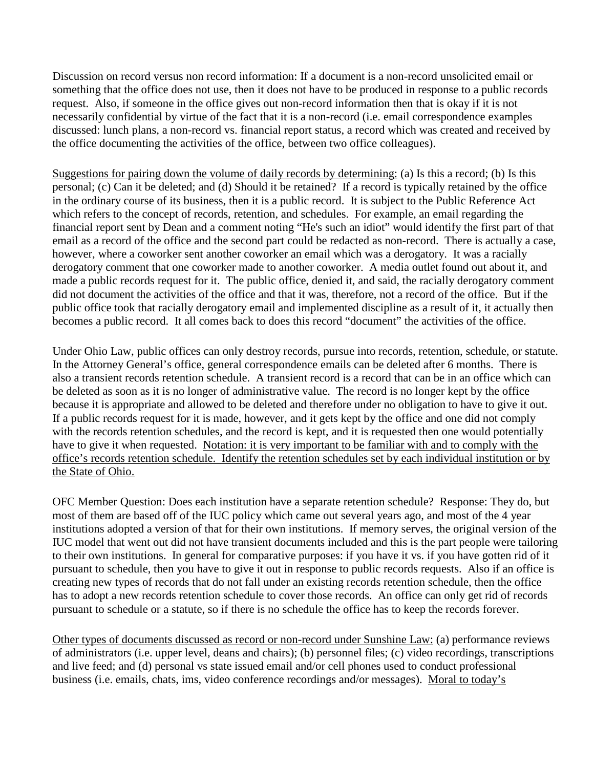Discussion on record versus non record information: If a document is a non-record unsolicited email or something that the office does not use, then it does not have to be produced in response to a public records request. Also, if someone in the office gives out non-record information then that is okay if it is not necessarily confidential by virtue of the fact that it is a non-record (i.e. email correspondence examples discussed: lunch plans, a non-record vs. financial report status, a record which was created and received by the office documenting the activities of the office, between two office colleagues).

Suggestions for pairing down the volume of daily records by determining: (a) Is this a record; (b) Is this personal; (c) Can it be deleted; and (d) Should it be retained? If a record is typically retained by the office in the ordinary course of its business, then it is a public record. It is subject to the Public Reference Act which refers to the concept of records, retention, and schedules. For example, an email regarding the financial report sent by Dean and a comment noting "He's such an idiot" would identify the first part of that email as a record of the office and the second part could be redacted as non-record. There is actually a case, however, where a coworker sent another coworker an email which was a derogatory. It was a racially derogatory comment that one coworker made to another coworker. A media outlet found out about it, and made a public records request for it. The public office, denied it, and said, the racially derogatory comment did not document the activities of the office and that it was, therefore, not a record of the office. But if the public office took that racially derogatory email and implemented discipline as a result of it, it actually then becomes a public record. It all comes back to does this record "document" the activities of the office.

Under Ohio Law, public offices can only destroy records, pursue into records, retention, schedule, or statute. In the Attorney General's office, general correspondence emails can be deleted after 6 months. There is also a transient records retention schedule. A transient record is a record that can be in an office which can be deleted as soon as it is no longer of administrative value. The record is no longer kept by the office because it is appropriate and allowed to be deleted and therefore under no obligation to have to give it out. If a public records request for it is made, however, and it gets kept by the office and one did not comply with the records retention schedules, and the record is kept, and it is requested then one would potentially have to give it when requested. Notation: it is very important to be familiar with and to comply with the office's records retention schedule. Identify the retention schedules set by each individual institution or by the State of Ohio.

OFC Member Question: Does each institution have a separate retention schedule? Response: They do, but most of them are based off of the IUC policy which came out several years ago, and most of the 4 year institutions adopted a version of that for their own institutions. If memory serves, the original version of the IUC model that went out did not have transient documents included and this is the part people were tailoring to their own institutions. In general for comparative purposes: if you have it vs. if you have gotten rid of it pursuant to schedule, then you have to give it out in response to public records requests. Also if an office is creating new types of records that do not fall under an existing records retention schedule, then the office has to adopt a new records retention schedule to cover those records. An office can only get rid of records pursuant to schedule or a statute, so if there is no schedule the office has to keep the records forever.

Other types of documents discussed as record or non-record under Sunshine Law: (a) performance reviews of administrators (i.e. upper level, deans and chairs); (b) personnel files; (c) video recordings, transcriptions and live feed; and (d) personal vs state issued email and/or cell phones used to conduct professional business (i.e. emails, chats, ims, video conference recordings and/or messages). Moral to today's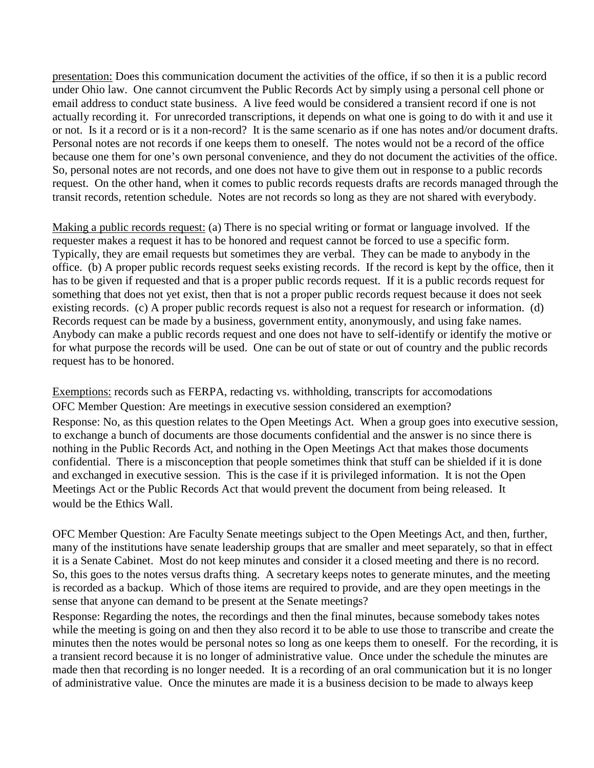presentation: Does this communication document the activities of the office, if so then it is a public record under Ohio law. One cannot circumvent the Public Records Act by simply using a personal cell phone or email address to conduct state business. A live feed would be considered a transient record if one is not actually recording it. For unrecorded transcriptions, it depends on what one is going to do with it and use it or not. Is it a record or is it a non-record? It is the same scenario as if one has notes and/or document drafts. Personal notes are not records if one keeps them to oneself. The notes would not be a record of the office because one them for one's own personal convenience, and they do not document the activities of the office. So, personal notes are not records, and one does not have to give them out in response to a public records request. On the other hand, when it comes to public records requests drafts are records managed through the transit records, retention schedule. Notes are not records so long as they are not shared with everybody.

Making a public records request: (a) There is no special writing or format or language involved. If the requester makes a request it has to be honored and request cannot be forced to use a specific form. Typically, they are email requests but sometimes they are verbal. They can be made to anybody in the office. (b) A proper public records request seeks existing records. If the record is kept by the office, then it has to be given if requested and that is a proper public records request. If it is a public records request for something that does not yet exist, then that is not a proper public records request because it does not seek existing records. (c) A proper public records request is also not a request for research or information. (d) Records request can be made by a business, government entity, anonymously, and using fake names. Anybody can make a public records request and one does not have to self-identify or identify the motive or for what purpose the records will be used. One can be out of state or out of country and the public records request has to be honored.

Exemptions: records such as FERPA, redacting vs. withholding, transcripts for accomodations OFC Member Question: Are meetings in executive session considered an exemption? Response: No, as this question relates to the Open Meetings Act. When a group goes into executive session, to exchange a bunch of documents are those documents confidential and the answer is no since there is nothing in the Public Records Act, and nothing in the Open Meetings Act that makes those documents confidential. There is a misconception that people sometimes think that stuff can be shielded if it is done and exchanged in executive session. This is the case if it is privileged information. It is not the Open Meetings Act or the Public Records Act that would prevent the document from being released. It would be the Ethics Wall.

OFC Member Question: Are Faculty Senate meetings subject to the Open Meetings Act, and then, further, many of the institutions have senate leadership groups that are smaller and meet separately, so that in effect it is a Senate Cabinet. Most do not keep minutes and consider it a closed meeting and there is no record. So, this goes to the notes versus drafts thing. A secretary keeps notes to generate minutes, and the meeting is recorded as a backup. Which of those items are required to provide, and are they open meetings in the sense that anyone can demand to be present at the Senate meetings?

Response: Regarding the notes, the recordings and then the final minutes, because somebody takes notes while the meeting is going on and then they also record it to be able to use those to transcribe and create the minutes then the notes would be personal notes so long as one keeps them to oneself. For the recording, it is a transient record because it is no longer of administrative value. Once under the schedule the minutes are made then that recording is no longer needed. It is a recording of an oral communication but it is no longer of administrative value. Once the minutes are made it is a business decision to be made to always keep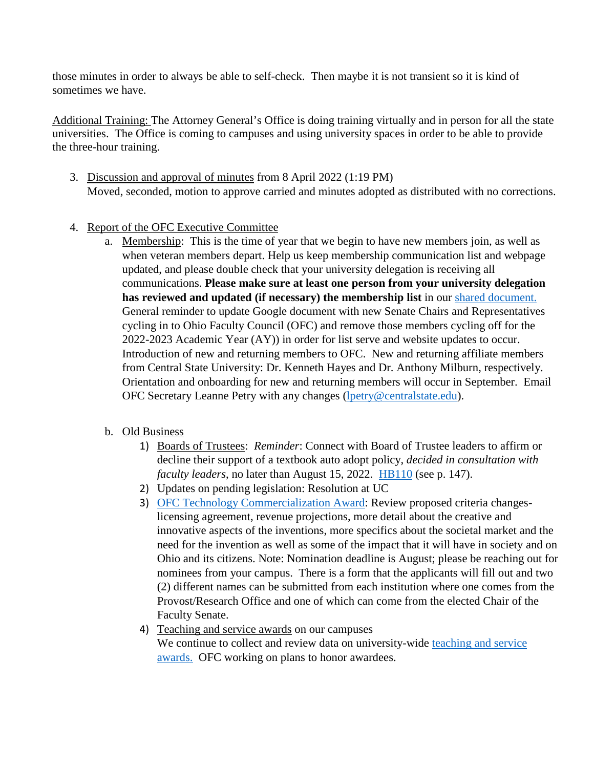those minutes in order to always be able to self-check. Then maybe it is not transient so it is kind of sometimes we have.

Additional Training: The Attorney General's Office is doing training virtually and in person for all the state universities. The Office is coming to campuses and using university spaces in order to be able to provide the three-hour training.

- 3. Discussion and approval of minutes from 8 April 2022 (1:19 PM) Moved, seconded, motion to approve carried and minutes adopted as distributed with no corrections.
- 4. Report of the OFC Executive Committee
	- a. Membership: This is the time of year that we begin to have new members join, as well as when veteran members depart. Help us keep membership communication list and webpage updated, and please double check that your university delegation is receiving all communications. **Please make sure at least one person from your university delegation has reviewed and updated (if necessary) the membership list** in our [shared document.](https://urldefense.com/v3/__https:/nam11.safelinks.protection.outlook.com/?url=https*3A*2F*2Fdocs.google.com*2Fdocument*2Fd*2F1gywgPP4AHzZFdoeg45aTGFfUEWmqJviucX--kBv0Qd8*2Fedit&data=05*7C01*7Cofc-l*40lists.uakron.edu*7C29a39a198be84980496308da34e49e07*7Ce8575dedd7f94ecea4aa0b32991aeedd*7C0*7C0*7C637880454643388782*7CUnknown*7CTWFpbGZsb3d8eyJWIjoiMC4wLjAwMDAiLCJQIjoiV2luMzIiLCJBTiI6Ik1haWwiLCJXVCI6Mn0*3D*7C2000*7C*7C*7C&sdata=WhJ0NOsDFk4wVLRAxh36dsUxrByUCxwVI4aox6ZUxkM*3D&reserved=0__;JSUlJSUlJSUlJSUlJSUlJSUlJSUlJSU!!BiR-i3uNs8L8!N246NK685l4gbZ9hJTTlPGdmipNL9I-OkNgrOob1ahd08abQfRAIsPC0ogxr2_-ht_jZ2k2iT_uckugK5BnuT4_XsUoD4E0806E$)  General reminder to update Google document with new Senate Chairs and Representatives cycling in to Ohio Faculty Council (OFC) and remove those members cycling off for the 2022-2023 Academic Year (AY)) in order for list serve and website updates to occur. Introduction of new and returning members to OFC. New and returning affiliate members from Central State University: Dr. Kenneth Hayes and Dr. Anthony Milburn, respectively. Orientation and onboarding for new and returning members will occur in September. Email OFC Secretary Leanne Petry with any changes [\(lpetry@centralstate.edu\)](mailto:lpetry@centralstate.edu).
	- b. Old Business
		- 1) Boards of Trustees: *Reminder*: Connect with Board of Trustee leaders to affirm or decline their support of a textbook auto adopt policy, *decided in consultation with faculty leaders*, no later than August 15, 2022. [HB110](https://urldefense.com/v3/__https:/nam11.safelinks.protection.outlook.com/?url=https*3A*2F*2Fwww.lsc.ohio.gov*2Fdocuments*2Fbudget*2F134*2FMainOperating*2FIN*2FBillAnalysis*2FH0110-I-134.pdf&data=05*7C01*7Cofc-l*40lists.uakron.edu*7C29a39a198be84980496308da34e49e07*7Ce8575dedd7f94ecea4aa0b32991aeedd*7C0*7C0*7C637880454643388782*7CUnknown*7CTWFpbGZsb3d8eyJWIjoiMC4wLjAwMDAiLCJQIjoiV2luMzIiLCJBTiI6Ik1haWwiLCJXVCI6Mn0*3D*7C2000*7C*7C*7C&sdata=Fk*2FepWbIFYLfZEGCSrglI6da5msT9Go9wT*2FHX4acA1c*3D&reserved=0__;JSUlJSUlJSUlJSUlJSUlJSUlJSUlJSUlJSUlJQ!!BiR-i3uNs8L8!N246NK685l4gbZ9hJTTlPGdmipNL9I-OkNgrOob1ahd08abQfRAIsPC0ogxr2_-ht_jZ2k2iT_uckugK5BnuT4_XsUoD2kP22NM$) (see p. 147).
		- 2) Updates on pending legislation: Resolution at UC
		- 3) [OFC Technology Commercialization Award:](https://urldefense.com/v3/__https:/nam11.safelinks.protection.outlook.com/?url=https*3A*2F*2Fwww.ohiofacultycouncil.org*2Ftechnology-commercialization-award*23*3A**A3Atext*3DThe*2520OFC*2520Technology*2520Commercialization*2520Award*2Cmarketable*2520products*2520and*252For*2520services.&data=05*7C01*7Cofc-l*40lists.uakron.edu*7C29a39a198be84980496308da34e49e07*7Ce8575dedd7f94ecea4aa0b32991aeedd*7C0*7C0*7C637880454643545025*7CUnknown*7CTWFpbGZsb3d8eyJWIjoiMC4wLjAwMDAiLCJQIjoiV2luMzIiLCJBTiI6Ik1haWwiLCJXVCI6Mn0*3D*7C2000*7C*7C*7C&sdata=qQa68dlDCW792d301CtR73LQd9WPqiUi*2BMhv4T6ZTuU*3D&reserved=0__;JSUlJSUlfiUlJSUlJSUlJSUlJSUlJSUlJSUlJSUlJSUlJSU!!BiR-i3uNs8L8!N246NK685l4gbZ9hJTTlPGdmipNL9I-OkNgrOob1ahd08abQfRAIsPC0ogxr2_-ht_jZ2k2iT_uckugK5BnuT4_XsUoDWoCRbsU$) Review proposed criteria changeslicensing agreement, revenue projections, more detail about the creative and innovative aspects of the inventions, more specifics about the societal market and the need for the invention as well as some of the impact that it will have in society and on Ohio and its citizens. Note: Nomination deadline is August; please be reaching out for nominees from your campus. There is a form that the applicants will fill out and two (2) different names can be submitted from each institution where one comes from the Provost/Research Office and one of which can come from the elected Chair of the Faculty Senate.
		- 4) Teaching and service awards on our campuses

We continue to collect and review data on university-wide teaching and service [awards.](https://urldefense.com/v3/__https:/nam11.safelinks.protection.outlook.com/?url=https*3A*2F*2Fdocs.google.com*2Fdocument*2Fd*2F1A4yRkF6YWL2ejp6l4ArtlBnUJwOeloq_GIwceATUxBo*2Fedit*3Fusp*3Dsharing&data=05*7C01*7Cofc-l*40lists.uakron.edu*7C29a39a198be84980496308da34e49e07*7Ce8575dedd7f94ecea4aa0b32991aeedd*7C0*7C0*7C637880454643545025*7CUnknown*7CTWFpbGZsb3d8eyJWIjoiMC4wLjAwMDAiLCJQIjoiV2luMzIiLCJBTiI6Ik1haWwiLCJXVCI6Mn0*3D*7C2000*7C*7C*7C&sdata=VtQJVP3QF1DYEX*2FJge86bllDAv*2FnPGBQrAf*2FRCCbkEg*3D&reserved=0__;JSUlJSUlJSUlJSUlJSUlJSUlJSUlJSUlJSUlJQ!!BiR-i3uNs8L8!N246NK685l4gbZ9hJTTlPGdmipNL9I-OkNgrOob1ahd08abQfRAIsPC0ogxr2_-ht_jZ2k2iT_uckugK5BnuT4_XsUoD4KvV5x4$) OFC working on plans to honor awardees.